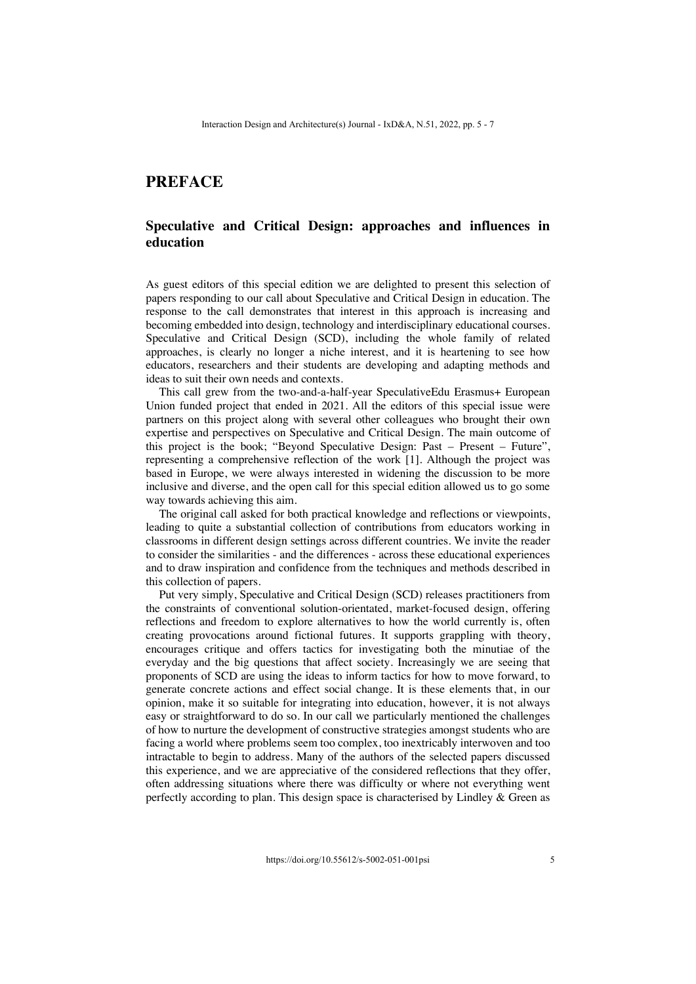## **PREFACE**

## **Speculative and Critical Design: approaches and influences in education**

As guest editors of this special edition we are delighted to present this selection of papers responding to our call about Speculative and Critical Design in education. The response to the call demonstrates that interest in this approach is increasing and becoming embedded into design, technology and interdisciplinary educational courses. Speculative and Critical Design (SCD), including the whole family of related approaches, is clearly no longer a niche interest, and it is heartening to see how educators, researchers and their students are developing and adapting methods and ideas to suit their own needs and contexts.

This call grew from the two-and-a-half-year SpeculativeEdu Erasmus+ European Union funded project that ended in 2021. All the editors of this special issue were partners on this project along with several other colleagues who brought their own expertise and perspectives on Speculative and Critical Design. The main outcome of this project is the book; "Beyond Speculative Design: Past – Present – Future", representing a comprehensive reflection of the work [1]. Although the project was based in Europe, we were always interested in widening the discussion to be more inclusive and diverse, and the open call for this special edition allowed us to go some way towards achieving this aim.

The original call asked for both practical knowledge and reflections or viewpoints, leading to quite a substantial collection of contributions from educators working in classrooms in different design settings across different countries. We invite the reader to consider the similarities - and the differences - across these educational experiences and to draw inspiration and confidence from the techniques and methods described in this collection of papers.

Put very simply, Speculative and Critical Design (SCD) releases practitioners from the constraints of conventional solution-orientated, market-focused design, offering reflections and freedom to explore alternatives to how the world currently is, often creating provocations around fictional futures. It supports grappling with theory, encourages critique and offers tactics for investigating both the minutiae of the everyday and the big questions that affect society. Increasingly we are seeing that proponents of SCD are using the ideas to inform tactics for how to move forward, to generate concrete actions and effect social change. It is these elements that, in our opinion, make it so suitable for integrating into education, however, it is not always easy or straightforward to do so. In our call we particularly mentioned the challenges of how to nurture the development of constructive strategies amongst students who are facing a world where problems seem too complex, too inextricably interwoven and too intractable to begin to address. Many of the authors of the selected papers discussed this experience, and we are appreciative of the considered reflections that they offer, often addressing situations where there was difficulty or where not everything went perfectly according to plan. This design space is characterised by Lindley & Green as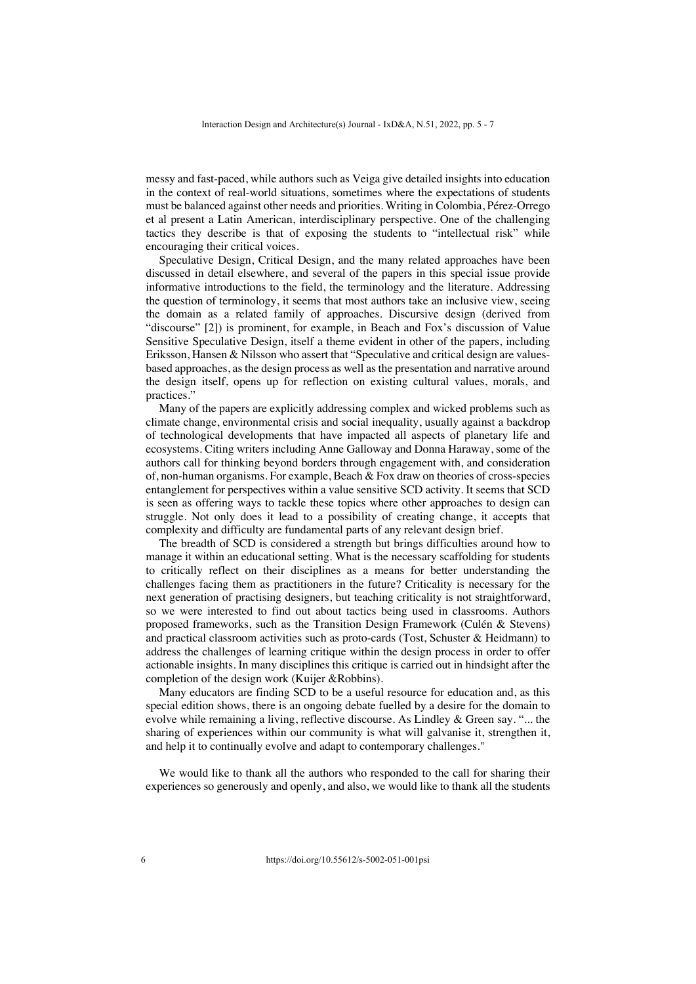messy and fast-paced, while authors such as Veiga give detailed insights into education in the context of real-world situations, sometimes where the expectations of students must be balanced against other needs and priorities. Writing in Colombia, Pérez-Orrego et al present a Latin American, interdisciplinary perspective. One of the challenging tactics they describe is that of exposing the students to "intellectual risk" while encouraging their critical voices.

Speculative Design, Critical Design, and the many related approaches have been discussed in detail elsewhere, and several of the papers in this special issue provide informative introductions to the field, the terminology and the literature. Addressing the question of terminology, it seems that most authors take an inclusive view, seeing the domain as a related family of approaches. Discursive design (derived from "discourse" [2]) is prominent, for example, in Beach and Fox's discussion of Value Sensitive Speculative Design, itself a theme evident in other of the papers, including Eriksson, Hansen & Nilsson who assert that "Speculative and critical design are valuesbased approaches, as the design process as well as the presentation and narrative around the design itself, opens up for reflection on existing cultural values, morals, and practices."

Many of the papers are explicitly addressing complex and wicked problems such as climate change, environmental crisis and social inequality, usually against a backdrop of technological developments that have impacted all aspects of planetary life and ecosystems. Citing writers including Anne Galloway and Donna Haraway, some of the authors call for thinking beyond borders through engagement with, and consideration of, non-human organisms. For example, Beach & Fox draw on theories of cross-species entanglement for perspectives within a value sensitive SCD activity. It seems that SCD is seen as offering ways to tackle these topics where other approaches to design can struggle. Not only does it lead to a possibility of creating change, it accepts that complexity and difficulty are fundamental parts of any relevant design brief.

The breadth of SCD is considered a strength but brings difficulties around how to manage it within an educational setting. What is the necessary scaffolding for students to critically reflect on their disciplines as a means for better understanding the challenges facing them as practitioners in the future? Criticality is necessary for the next generation of practising designers, but teaching criticality is not straightforward, so we were interested to find out about tactics being used in classrooms. Authors proposed frameworks, such as the Transition Design Framework (Culén & Stevens) and practical classroom activities such as proto-cards (Tost, Schuster & Heidmann) to address the challenges of learning critique within the design process in order to offer actionable insights. In many disciplines this critique is carried out in hindsight after the completion of the design work (Kuijer &Robbins).

Many educators are finding SCD to be a useful resource for education and, as this special edition shows, there is an ongoing debate fuelled by a desire for the domain to evolve while remaining a living, reflective discourse. As Lindley & Green say. "... the sharing of experiences within our community is what will galvanise it, strengthen it, and help it to continually evolve and adapt to contemporary challenges."

We would like to thank all the authors who responded to the call for sharing their experiences so generously and openly, and also, we would like to thank all the students